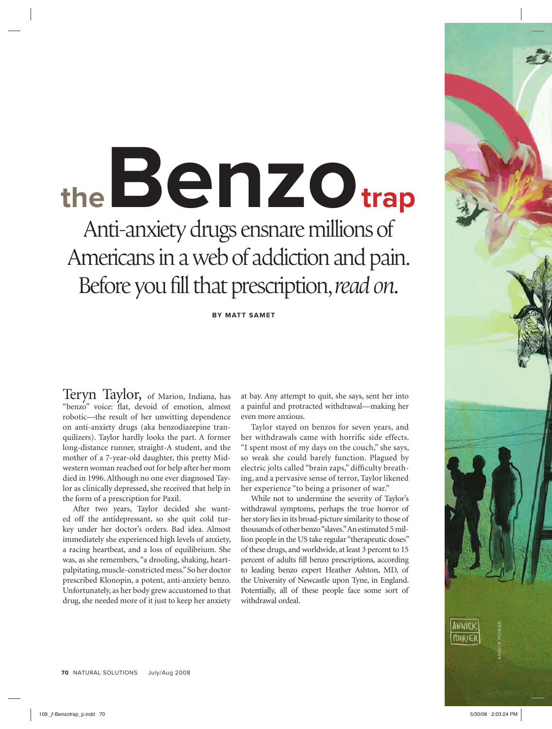# **theBenzotrap** Anti-anxiety drugs ensnare millions of Americans in a web of addiction and pain. Before you fill that prescription, *read on*.

**BY MATT SAMET** 

Teryn Taylor, of Marion, Indiana, has "benzo" voice: flat, devoid of emotion, almost robotic—the result of her unwitting dependence on anti-anxiety drugs (aka benzodiazepine tranquilizers). Taylor hardly looks the part. A former long-distance runner, straight-A student, and the mother of a 7-year-old daughter, this pretty Midwestern woman reached out for help after her mom died in 1996. Although no one ever diagnosed Taylor as clinically depressed, she received that help in the form of a prescription for Paxil.

After two years, Taylor decided she wanted off the antidepressant, so she quit cold turkey under her doctor's orders. Bad idea. Almost immediately she experienced high levels of anxiety, a racing heartbeat, and a loss of equilibrium. She was, as she remembers, "a drooling, shaking, heartpalpitating, muscle-constricted mess." So her doctor prescribed Klonopin, a potent, anti-anxiety benzo. Unfortunately, as her body grew accustomed to that drug, she needed more of it just to keep her anxiety

at bay. Any attempt to quit, she says, sent her into a painful and protracted withdrawal—making her even more anxious.

Taylor stayed on benzos for seven years, and her withdrawals came with horrific side effects. "I spent most of my days on the couch," she says, so weak she could barely function. Plagued by electric jolts called "brain zaps," difficulty breathing, and a pervasive sense of terror, Taylor likened her experience "to being a prisoner of war."

While not to undermine the severity of Taylor's withdrawal symptoms, perhaps the true horror of her story lies in its broad-picture similarity to those of thousands of other benzo "slaves." An estimated 5 million people in the US take regular "therapeutic doses" of these drugs, and worldwide, at least 3 percent to 15 percent of adults fill benzo prescriptions, according to leading benzo expert Heather Ashton, MD, of the University of Newcastle upon Tyne, in England. Potentially, all of these people face some sort of withdrawal ordeal.

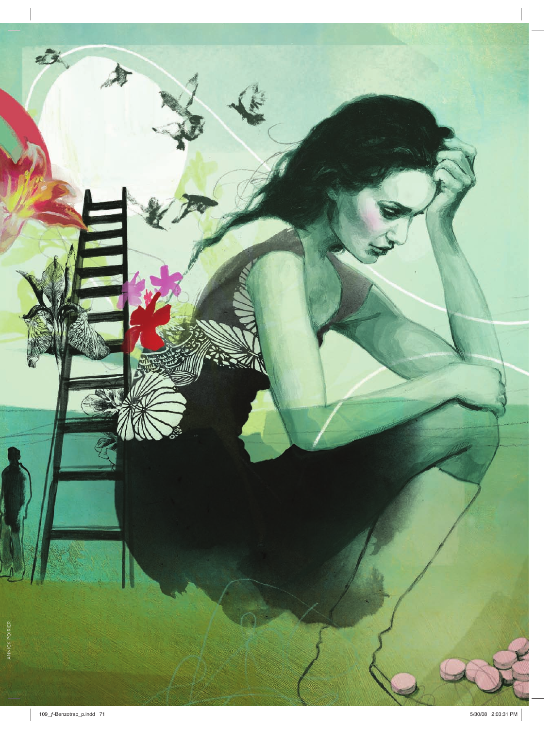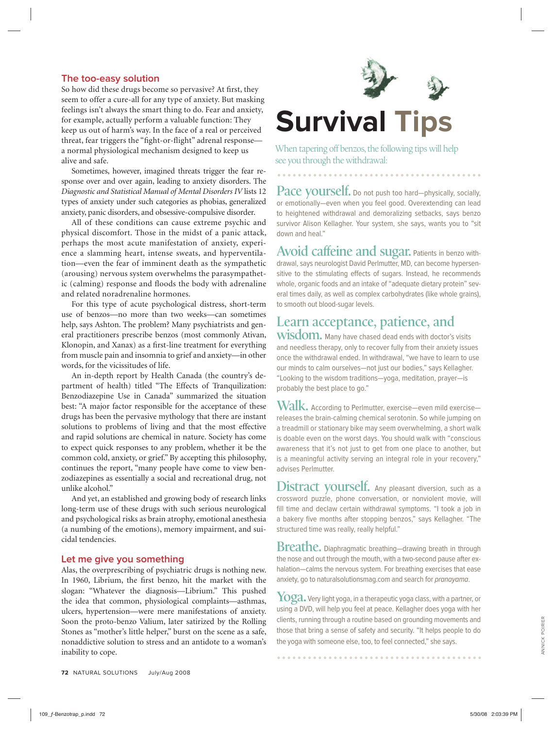## **The too-easy solution**

So how did these drugs become so pervasive? At first, they seem to offer a cure-all for any type of anxiety. But masking feelings isn't always the smart thing to do. Fear and anxiety, for example, actually perform a valuable function: They keep us out of harm's way. In the face of a real or perceived threat, fear triggers the "fight-or-flight" adrenal responsea normal physiological mechanism designed to keep us alive and safe.

Sometimes, however, imagined threats trigger the fear response over and over again, leading to anxiety disorders. The *Diagnostic and Statistical Manual of Mental Disorders IV* lists 12 types of anxiety under such categories as phobias, generalized anxiety, panic disorders, and obsessive-compulsive disorder.

All of these conditions can cause extreme psychic and physical discomfort. Those in the midst of a panic attack, perhaps the most acute manifestation of anxiety, experience a slamming heart, intense sweats, and hyperventilation—even the fear of imminent death as the sympathetic (arousing) nervous system overwhelms the parasympathetic (calming) response and floods the body with adrenaline and related noradrenaline hormones.

For this type of acute psychological distress, short-term use of benzos—no more than two weeks—can sometimes help, says Ashton. The problem? Many psychiatrists and general practitioners prescribe benzos (most commonly Ativan, Klonopin, and Xanax) as a first-line treatment for everything from muscle pain and insomnia to grief and anxiety—in other words, for the vicissitudes of life.

An in-depth report by Health Canada (the country's department of health) titled "The Effects of Tranquilization: Benzodiazepine Use in Canada" summarized the situation best: "A major factor responsible for the acceptance of these drugs has been the pervasive mythology that there are instant solutions to problems of living and that the most effective and rapid solutions are chemical in nature. Society has come to expect quick responses to any problem, whether it be the common cold, anxiety, or grief." By accepting this philosophy, continues the report, "many people have come to view benzodiazepines as essentially a social and recreational drug, not unlike alcohol."

And yet, an established and growing body of research links long-term use of these drugs with such serious neurological and psychological risks as brain atrophy, emotional anesthesia (a numbing of the emotions), memory impairment, and suicidal tendencies.

#### **Let me give you something**

Alas, the overprescribing of psychiatric drugs is nothing new. In 1960, Librium, the first benzo, hit the market with the slogan: "Whatever the diagnosis—Librium." This pushed the idea that common, physiological complaints—asthmas, ulcers, hypertension—were mere manifestations of anxiety. Soon the proto-benzo Valium, later satirized by the Rolling Stones as "mother's little helper," burst on the scene as a safe, nonaddictive solution to stress and an antidote to a woman's inability to cope.

![](_page_2_Picture_10.jpeg)

## **Survival Tips**

When tapering off benzos, the following tips will help see you through the withdrawal:

Pace yourself. Do not push too hard-physically, socially, or emotionally—even when you feel good. Overextending can lead to heightened withdrawal and demoralizing setbacks, says benzo survivor Alison Kellagher. Your system, she says, wants you to "sit down and heal."

**Avoid caffeine and sugar.** Patients in benzo withdrawal, says neurologist David Perlmutter, MD, can become hypersensitive to the stimulating effects of sugars. Instead, he recommends whole, organic foods and an intake of "adequate dietary protein" several times daily, as well as complex carbohydrates (like whole grains), to smooth out blood-sugar levels.

## **Learn acceptance, patience, and**

**wisdom.** Many have chased dead ends with doctor's visits and needless therapy, only to recover fully from their anxiety issues once the withdrawal ended. In withdrawal, "we have to learn to use our minds to calm ourselves—not just our bodies," says Kellagher. "Looking to the wisdom traditions—yoga, meditation, prayer—is probably the best place to go."

 $\text{Walk.}$  According to Perlmutter, exercise—even mild exercise releases the brain-calming chemical serotonin. So while jumping on a treadmill or stationary bike may seem overwhelming, a short walk is doable even on the worst days. You should walk with "conscious awareness that it's not just to get from one place to another, but is a meaningful activity serving an integral role in your recovery," advises Perlmutter.

**Distract yourself.** Any pleasant diversion, such as a crossword puzzle, phone conversation, or nonviolent movie, will fill time and declaw certain withdrawal symptoms. "I took a job in a bakery five months after stopping benzos," says Kellagher. "The structured time was really, really helpful."

**Breathe.** Diaphragmatic breathing—drawing breath in through the nose and out through the mouth, with a two-second pause after exhalation—calms the nervous system. For breathing exercises that ease anxiety, go to naturalsolutionsmag.com and search for pranayama.

**Yoga.** Very light yoga, in a therapeutic yoga class, with a partner, or using a DVD, will help you feel at peace. Kellagher does yoga with her clients, running through a routine based on grounding movements and those that bring a sense of safety and security. "It helps people to do the yoga with someone else, too, to feel connected," she says.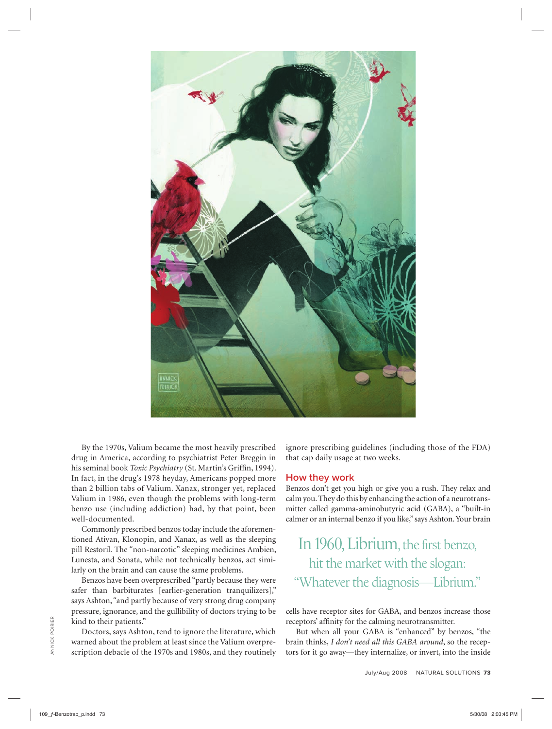![](_page_3_Picture_0.jpeg)

By the 1970s, Valium became the most heavily prescribed drug in America, according to psychiatrist Peter Breggin in his seminal book *Toxic Psychiatry* (St. Martin's Griffin, 1994). In fact, in the drug's 1978 heyday, Americans popped more than 2 billion tabs of Valium. Xanax, stronger yet, replaced Valium in 1986, even though the problems with long-term benzo use (including addiction) had, by that point, been well-documented.

Commonly prescribed benzos today include the aforementioned Ativan, Klonopin, and Xanax, as well as the sleeping pill Restoril. The "non-narcotic" sleeping medicines Ambien, Lunesta, and Sonata, while not technically benzos, act similarly on the brain and can cause the same problems.

Benzos have been overprescribed "partly because they were safer than barbiturates [earlier-generation tranquilizers]," says Ashton, "and partly because of very strong drug company pressure, ignorance, and the gullibility of doctors trying to be kind to their patients."

Doctors, says Ashton, tend to ignore the literature, which warned about the problem at least since the Valium overprescription debacle of the 1970s and 1980s, and they routinely ignore prescribing guidelines (including those of the FDA) that cap daily usage at two weeks.

### **How they work**

Benzos don't get you high or give you a rush. They relax and calm you. They do this by enhancing the action of a neurotransmitter called gamma-aminobutyric acid (GABA), a "built-in calmer or an internal benzo if you like," says Ashton. Your brain

## In 1960, Librium, the first benzo, hit the market with the slogan: "Whatever the diagnosis—Librium."

cells have receptor sites for GABA, and benzos increase those receptors' affinity for the calming neurotransmitter.

But when all your GABA is "enhanced" by benzos, "the brain thinks, *I don't need all this GABA around*, so the receptors for it go away—they internalize, or invert, into the inside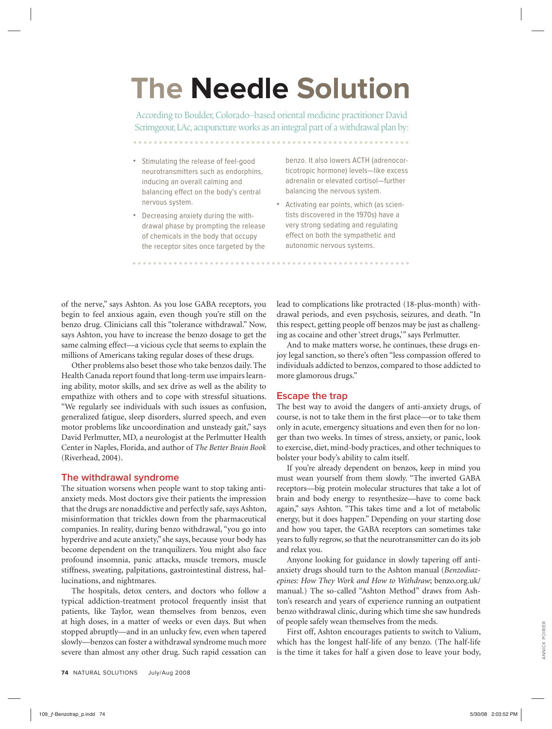## **The Needle Solution**

According to Boulder, Colorado–based oriental medicine practitioner David Scrimgeour, LAc, acupuncture works as an integral part of a withdrawal plan by:

. . . . . . . . . . . . . . . .

• Stimulating the release of feel-good neurotransmitters such as endorphins, inducing an overall calming and balancing effect on the body's central nervous system.

. . . . . . . . . . . . . . . . . .

• Decreasing anxiety during the withdrawal phase by prompting the release of chemicals in the body that occupy the receptor sites once targeted by the

benzo. It also lowers ACTH (adrenocorticotropic hormone) levels—like excess adrenalin or elevated cortisol—further balancing the nervous system.

• Activating ear points, which (as scientists discovered in the 1970s) have a very strong sedating and regulating effect on both the sympathetic and autonomic nervous systems.

of the nerve," says Ashton. As you lose GABA receptors, you begin to feel anxious again, even though you're still on the benzo drug. Clinicians call this "tolerance withdrawal." Now, says Ashton, you have to increase the benzo dosage to get the same calming effect—a vicious cycle that seems to explain the millions of Americans taking regular doses of these drugs.

Other problems also beset those who take benzos daily. The Health Canada report found that long-term use impairs learning ability, motor skills, and sex drive as well as the ability to empathize with others and to cope with stressful situations. "We regularly see individuals with such issues as confusion, generalized fatigue, sleep disorders, slurred speech, and even motor problems like uncoordination and unsteady gait," says David Perlmutter, MD, a neurologist at the Perlmutter Health Center in Naples, Florida, and author of *The Better Brain Book*  (Riverhead, 2004).

#### **The withdrawal syndrome**

The situation worsens when people want to stop taking antianxiety meds. Most doctors give their patients the impression that the drugs are nonaddictive and perfectly safe, says Ashton, misinformation that trickles down from the pharmaceutical companies. In reality, during benzo withdrawal, "you go into hyperdrive and acute anxiety," she says, because your body has become dependent on the tranquilizers. You might also face profound insomnia, panic attacks, muscle tremors, muscle stiffness, sweating, palpitations, gastrointestinal distress, hallucinations, and nightmares.

The hospitals, detox centers, and doctors who follow a typical addiction-treatment protocol frequently insist that patients, like Taylor, wean themselves from benzos, even at high doses, in a matter of weeks or even days. But when stopped abruptly—and in an unlucky few, even when tapered slowly—benzos can foster a withdrawal syndrome much more severe than almost any other drug. Such rapid cessation can

**74** NATURAL SOLUTIONS July/Aug 2008

lead to complications like protracted (18-plus-month) withdrawal periods, and even psychosis, seizures, and death. "In this respect, getting people off benzos may be just as challenging as cocaine and other 'street drugs," says Perlmutter.

. . . . . . . . . . . . . . . . . . .

And to make matters worse, he continues, these drugs enjoy legal sanction, so there's often "less compassion offered to individuals addicted to benzos, compared to those addicted to more glamorous drugs."

## **Escape the trap**

The best way to avoid the dangers of anti-anxiety drugs, of course, is not to take them in the first place—or to take them only in acute, emergency situations and even then for no longer than two weeks. In times of stress, anxiety, or panic, look to exercise, diet, mind-body practices, and other techniques to bolster your body's ability to calm itself.

If you're already dependent on benzos, keep in mind you must wean yourself from them slowly. "The inverted GABA receptors—big protein molecular structures that take a lot of brain and body energy to resynthesize—have to come back again," says Ashton. "This takes time and a lot of metabolic energy, but it does happen." Depending on your starting dose and how you taper, the GABA receptors can sometimes take years to fully regrow, so that the neurotransmitter can do its job and relax you.

Anyone looking for guidance in slowly tapering off antianxiety drugs should turn to the Ashton manual (*Benzodiazepines: How They Work and How to Withdraw*; benzo.org.uk/ manual.) The so-called "Ashton Method" draws from Ashton's research and years of experience running an outpatient benzo withdrawal clinic, during which time she saw hundreds of people safely wean themselves from the meds.

First off, Ashton encourages patients to switch to Valium, which has the longest half-life of any benzo. (The half-life is the time it takes for half a given dose to leave your body,